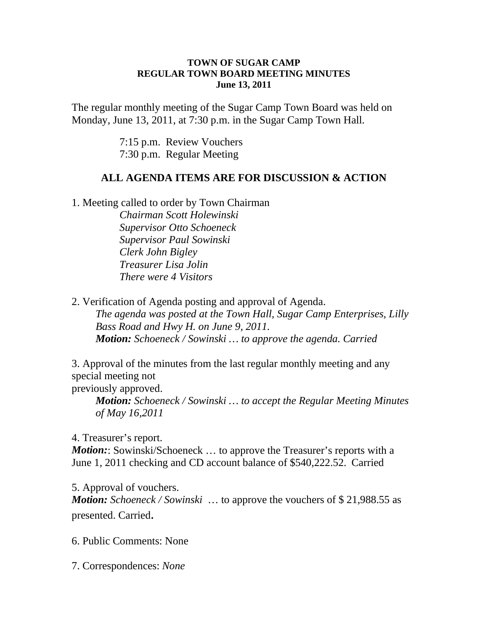## **TOWN OF SUGAR CAMP REGULAR TOWN BOARD MEETING MINUTES June 13, 2011**

The regular monthly meeting of the Sugar Camp Town Board was held on Monday, June 13, 2011, at 7:30 p.m. in the Sugar Camp Town Hall.

> 7:15 p.m. Review Vouchers 7:30 p.m. Regular Meeting

## **ALL AGENDA ITEMS ARE FOR DISCUSSION & ACTION**

1. Meeting called to order by Town Chairman

*Chairman Scott Holewinski Supervisor Otto Schoeneck Supervisor Paul Sowinski Clerk John Bigley Treasurer Lisa Jolin There were 4 Visitors*

2. Verification of Agenda posting and approval of Agenda.

*The agenda was posted at the Town Hall, Sugar Camp Enterprises, Lilly Bass Road and Hwy H. on June 9, 2011. Motion: Schoeneck / Sowinski … to approve the agenda. Carried*

3. Approval of the minutes from the last regular monthly meeting and any special meeting not

previously approved.

*Motion: Schoeneck / Sowinski … to accept the Regular Meeting Minutes of May 16,2011*

4. Treasurer's report.

*Motion*: Sowinski/Schoeneck ... to approve the Treasurer's reports with a June 1, 2011 checking and CD account balance of \$540,222.52. Carried

5. Approval of vouchers. *Motion: Schoeneck / Sowinski* … to approve the vouchers of \$ 21,988.55 as presented. Carried.

6. Public Comments: None

7. Correspondences: *None*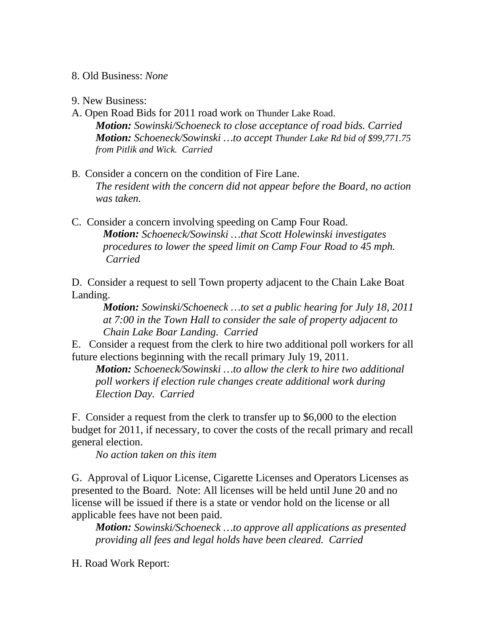8. Old Business: *None*

9. New Business:

- A. Open Road Bids for 2011 road work on Thunder Lake Road. *Motion: Sowinski/Schoeneck to close acceptance of road bids. Carried Motion: Schoeneck/Sowinski …to accept Thunder Lake Rd bid of \$99,771.75 from Pitlik and Wick. Carried*
- B. Consider a concern on the condition of Fire Lane. *The resident with the concern did not appear before the Board, no action was taken.*
- C. Consider a concern involving speeding on Camp Four Road. *Motion: Schoeneck/Sowinski …that Scott Holewinski investigates procedures to lower the speed limit on Camp Four Road to 45 mph. Carried*

D. Consider a request to sell Town property adjacent to the Chain Lake Boat Landing.

*Motion: Sowinski/Schoeneck …to set a public hearing for July 18, 2011 at 7:00 in the Town Hall to consider the sale of property adjacent to Chain Lake Boar Landing. Carried*

E. Consider a request from the clerk to hire two additional poll workers for all future elections beginning with the recall primary July 19, 2011.

*Motion: Schoeneck/Sowinski …to allow the clerk to hire two additional poll workers if election rule changes create additional work during Election Day. Carried*

F. Consider a request from the clerk to transfer up to \$6,000 to the election budget for 2011, if necessary, to cover the costs of the recall primary and recall general election.

*No action taken on this item*

G. Approval of Liquor License, Cigarette Licenses and Operators Licenses as presented to the Board. Note: All licenses will be held until June 20 and no license will be issued if there is a state or vendor hold on the license or all applicable fees have not been paid.

*Motion: Sowinski/Schoeneck …to approve all applications as presented providing all fees and legal holds have been cleared. Carried*

H. Road Work Report: